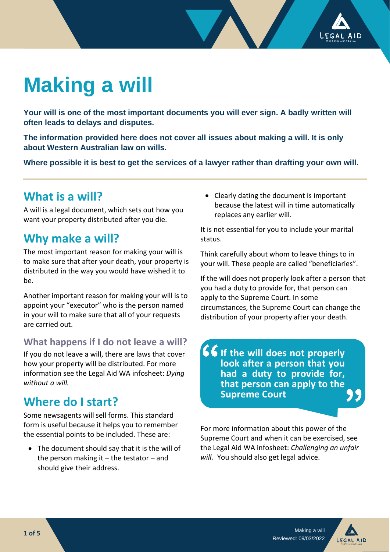

# **Making a will**

**Your will is one of the most important documents you will ever sign. A badly written will often leads to delays and disputes.**

**The information provided here does not cover all issues about making a will. It is only about Western Australian law on wills.**

**Where possible it is best to get the services of a lawyer rather than drafting your own will.**

## **What is a will?**

A will is a legal document, which sets out how you want your property distributed after you die.

## **Why make a will?**

The most important reason for making your will is to make sure that after your death, your property is distributed in the way you would have wished it to  $he$ 

Another important reason for making your will is to appoint your "executor" who is the person named in your will to make sure that all of your requests are carried out.

#### **What happens if I do not leave a will?**

If you do not leave a will, there are laws that cover how your property will be distributed. For more information see the Legal Aid WA infosheet: *Dying without a will.*

# **Where do I start?**

Some newsagents will sell forms. This standard form is useful because it helps you to remember the essential points to be included. These are:

• The document should say that it is the will of the person making it  $-$  the testator  $-$  and should give their address.

• Clearly dating the document is important because the latest will in time automatically replaces any earlier will.

It is not essential for you to include your marital status.

Think carefully about whom to leave things to in your will. These people are called "beneficiaries".

If the will does not properly look after a person that you had a duty to provide for, that person can apply to the Supreme Court. In some circumstances, the Supreme Court can change the distribution of your property after your death.

**If the will does not properly look after a person that you had a duty to provide for, that person can apply to the Supreme Court**

For more information about this power of the Supreme Court and when it can be exercised, see the Legal Aid WA infosheet: *Challenging an unfair will.* You should also get legal advice.

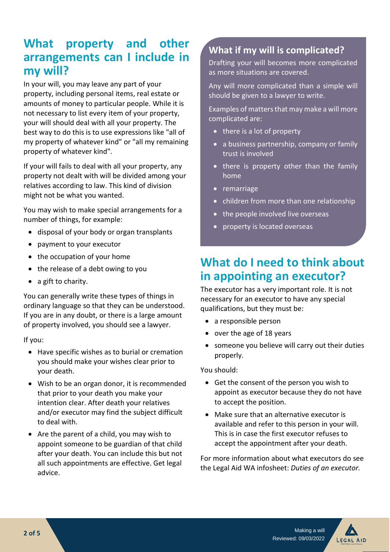# What property and other **arrangements can I include in my will?**

In your will, you may leave any part of your property, including personal items, real estate or amounts of money to particular people. While it is not necessary to list every item of your property, your will should deal with all your property. The best way to do this is to use expressions like "all of my property of whatever kind" or "all my remaining property of whatever kind".

If your will fails to deal with all your property, any property not dealt with will be divided among your relatives according to law. This kind of division might not be what you wanted.

You may wish to make special arrangements for a number of things, for example:

- disposal of your body or organ transplants
- payment to your executor
- the occupation of your home
- the release of a debt owing to you
- a gift to charity.

You can generally write these types of things in ordinary language so that they can be understood. If you are in any doubt, or there is a large amount of property involved, you should see a lawyer.

If you:

- Have specific wishes as to burial or cremation you should make your wishes clear prior to your death.
- Wish to be an organ donor, it is recommended that prior to your death you make your intention clear. After death your relatives and/or executor may find the subject difficult to deal with.
- Are the parent of a child, you may wish to appoint someone to be guardian of that child after your death. You can include this but not all such appointments are effective. Get legal advice.

#### **What if my will is complicated?**

Drafting your will becomes more complicated as more situations are covered.

Any will more complicated than a simple will should be given to a lawyer to write.

Examples of matters that may make a will more complicated are:

- there is a lot of property
- a business partnership, company or family trust is involved
- there is property other than the family home
- remarriage
- children from more than one relationship
- the people involved live overseas
- property is located overseas

# **What do I need to think about in appointing an executor?**

The executor has a very important role. It is not necessary for an executor to have any special qualifications, but they must be:

- a responsible person
- over the age of 18 years
- someone you believe will carry out their duties properly.

You should:

- Get the consent of the person you wish to appoint as executor because they do not have to accept the position.
- Make sure that an alternative executor is available and refer to this person in your will. This is in case the first executor refuses to accept the appointment after your death.

For more information about what executors do see the Legal Aid WA infosheet: *Duties of an executor.* 

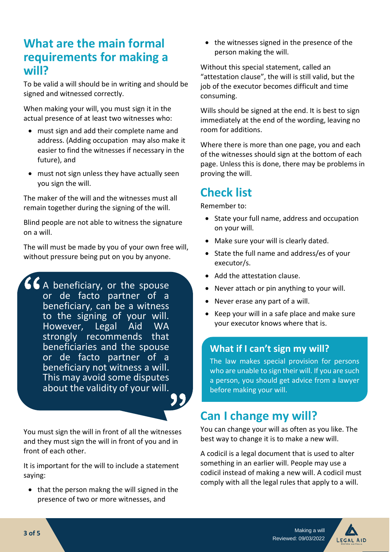# **What are the main formal requirements for making a will?**

To be valid a will should be in writing and should be signed and witnessed correctly.

When making your will, you must sign it in the actual presence of at least two witnesses who:

- must sign and add their complete name and address. (Adding occupation may also make it easier to find the witnesses if necessary in the future), and
- must not sign unless they have actually seen you sign the will.

The maker of the will and the witnesses must all remain together during the signing of the will.

Blind people are not able to witness the signature on a will.

The will must be made by you of your own free will, without pressure being put on you by anyone.

 $66$  A beneficiary, or the spouse or de facto partner of a beneficiary, can be a witness to the signing of your will.<br>However, Legal Aid WA Legal Aid WA strongly recommends that beneficiaries and the spouse or de facto partner of a beneficiary not witness a will. This may avoid some disputes about the validity of your will.

You must sign the will in front of all the witnesses and they must sign the will in front of you and in front of each other.

It is important for the will to include a statement saying:

• that the person makng the will signed in the presence of two or more witnesses, and

• the witnesses signed in the presence of the person making the will.

Without this special statement, called an "attestation clause", the will is still valid, but the job of the executor becomes difficult and time consuming.

Wills should be signed at the end. It is best to sign immediately at the end of the wording, leaving no room for additions.

Where there is more than one page, you and each of the witnesses should sign at the bottom of each page. Unless this is done, there may be problems in proving the will.

# **Check list**

Remember to:

- State your full name, address and occupation on your will.
- Make sure your will is clearly dated.
- State the full name and address/es of your executor/s.
- Add the attestation clause.
- Never attach or pin anything to your will.
- Never erase any part of a will.
- Keep your will in a safe place and make sure your executor knows where that is.

#### **What if I can't sign my will?**

The law makes special provision for persons who are unable to sign their will. If you are such a person, you should get advice from a lawyer before making your will.

# **Can I change my will?**

You can change your will as often as you like. The best way to change it is to make a new will.

A codicil is a legal document that is used to alter something in an earlier will. People may use a codicil instead of making a new will. A codicil must comply with all the legal rules that apply to a will.

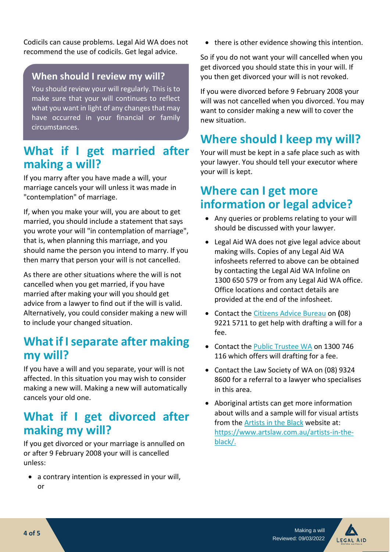Codicils can cause problems. Legal Aid WA does not recommend the use of codicils. Get legal advice.

#### **When should I review my will?**

You should review your will regularly. This is to make sure that your will continues to reflect what you want in light of any changes that may have occurred in your financial or family circumstances.

# **What if I get married after making a will?**

If you marry after you have made a will, your marriage cancels your will unless it was made in "contemplation" of marriage.

If, when you make your will, you are about to get married, you should include a statement that says you wrote your will "in contemplation of marriage", that is, when planning this marriage, and you should name the person you intend to marry. If you then marry that person your will is not cancelled.

As there are other situations where the will is not cancelled when you get married, if you have married after making your will you should get advice from a lawyer to find out if the will is valid. Alternatively, you could consider making a new will to include your changed situation.

# **What if I separate after making my will?**

If you have a will and you separate, your will is not affected. In this situation you may wish to consider making a new will. Making a new will automatically cancels your old one.

# **What if I get divorced after making my will?**

If you get divorced or your marriage is annulled on or after 9 February 2008 your will is cancelled unless:

• a contrary intention is expressed in your will, or

• there is other evidence showing this intention.

So if you do not want your will cancelled when you get divorced you should state this in your will. If you then get divorced your will is not revoked.

If you were divorced before 9 February 2008 your will was not cancelled when you divorced. You may want to consider making a new will to cover the new situation.

# **Where should I keep my will?**

Your will must be kept in a safe place such as with your lawyer. You should tell your executor where your will is kept.

# **Where can I get more information or legal advice?**

- Any queries or problems relating to your will should be discussed with your lawyer.
- Legal Aid WA does not give legal advice about making wills. Copies of any Legal Aid WA infosheets referred to above can be obtained by contacting the Legal Aid WA Infoline on 1300 650 579 or from any Legal Aid WA office. Office locations and contact details are provided at the end of the infosheet.
- Contact the [Citizens Advice Bureau](https://www.cabwa.com.au/index.php) on **(**08) 9221 5711 to get help with drafting a will for a fee.
- Contact the [Public Trustee WA](https://www.wa.gov.au/service/justice/civil-law/make-will-public-trustee) on 1300 746 116 which offers will drafting for a fee.
- Contact the Law Society of WA on (08) 9324 8600 for a referral to a lawyer who specialises in this area.
- Aboriginal artists can get more information about wills and a sample will for visual artists from the [Artists in the Black](https://www.artslaw.com.au/artists-in-the-black/) website at: https://www.artslaw.com.au/artists-in-theblack/.